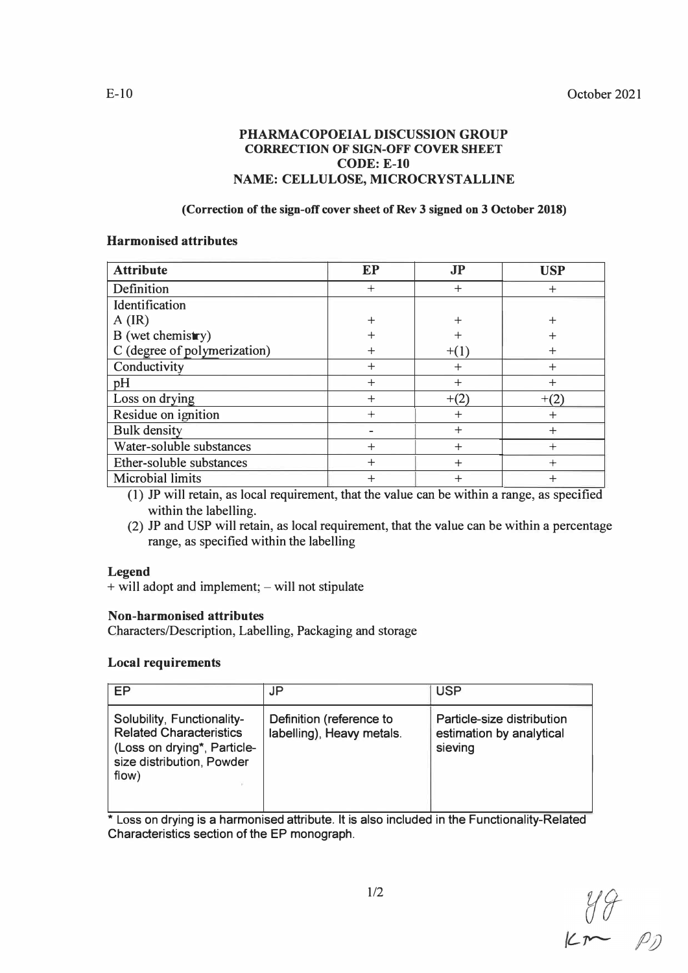## **PHARMACOPOEIAL DISCUSSION GROUP CORRECTION OF SIGN-OFF COVER SHEET CODE: E-10 NAME: CELLULOSE, MICROCRYSTALLINE**

## **(Correction of the sign-off cover sheet of Rev 3 signed on 3 October 2018)**

#### **Harmonised attributes**

| <b>Attribute</b>             | <b>EP</b> | <b>JP</b> | <b>USP</b> |
|------------------------------|-----------|-----------|------------|
| Definition                   | $^{+}$    | $\ddot{}$ | $^{+}$     |
| Identification               |           |           |            |
| $A$ (IR)                     | $+$       | $^{+}$    | $^{+}$     |
| B (wet chemistry)            | $\div$    |           | ┿          |
| C (degree of polymerization) |           | $+(1)$    | $\div$     |
| Conductivity                 | $^{+}$    | $^{+}$    | $+$        |
| pH                           | $^{+}$    | $^{+}$    | $\div$     |
| Loss on drying               | $^{+}$    | $+(2)$    | $+(2)$     |
| Residue on ignition          | $^{+}$    | $^{+}$    | $+$        |
| <b>Bulk density</b>          |           | $^{+}$    | $^{+}$     |
| Water-soluble substances     | $\div$    | $\pm$     | $^{+}$     |
| Ether-soluble substances     | $\ddot{}$ | $+$       | $^{+}$     |
| <b>Microbial limits</b>      | $\pm$     | $^{+}$    | $^{+}$     |

(1) JP will retain, as local requirement, that the value can be within a range, as specified within the labelling.

(2) JP and USP will retain, as local requirement, that the value can be within a percentage range, as specified within the labelling

## **Legend**

+ will adopt and implement; - will not stipulate

## **Non-harmonised attributes**

Characters/Description, Labelling, Packaging and storage

## **Local requirements**

| EP                                                                                                                                | JP                                                    | <b>USP</b>                                                        |
|-----------------------------------------------------------------------------------------------------------------------------------|-------------------------------------------------------|-------------------------------------------------------------------|
| Solubility, Functionality-<br><b>Related Characteristics</b><br>(Loss on drying*, Particle-<br>size distribution, Powder<br>flow) | Definition (reference to<br>labelling), Heavy metals. | Particle-size distribution<br>estimation by analytical<br>sieving |

\* Loss on drying is a harmonised attribute. It is also included in the Functionality-Related Characteristics section of the EP monograph.

 $y9$